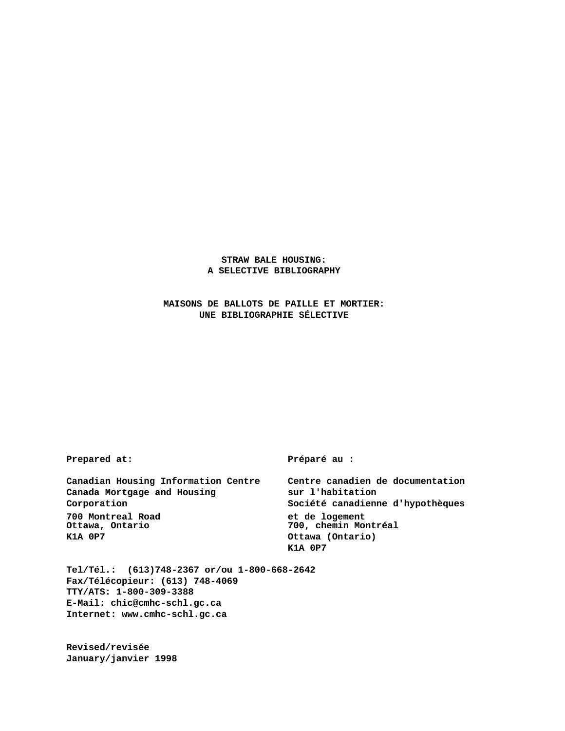## **STRAW BALE HOUSING: A SELECTIVE BIBLIOGRAPHY**

**MAISONS DE BALLOTS DE PAILLE ET MORTIER: UNE BIBLIOGRAPHIE SÉLECTIVE**

**Prepared at: Préparé au :**

**Canadian Housing Information Centre Centre canadien de documentation** Canada Mortgage and Housing **sur l'habitation Corporation Société canadienne d'hypothèques 700 Montreal Road et de logement K1A 0P7 Ottawa (Ontario)**

**Ottawa, Ontario 700, chemin Montréal K1A 0P7**

**Tel/Tél.: (613)748-2367 or/ou 1-800-668-2642 Fax/Télécopieur: (613) 748-4069 TTY/ATS: 1-800-309-3388 E-Mail: chic@cmhc-schl.gc.ca Internet: www.cmhc-schl.gc.ca**

**Revised/revisée January/janvier 1998**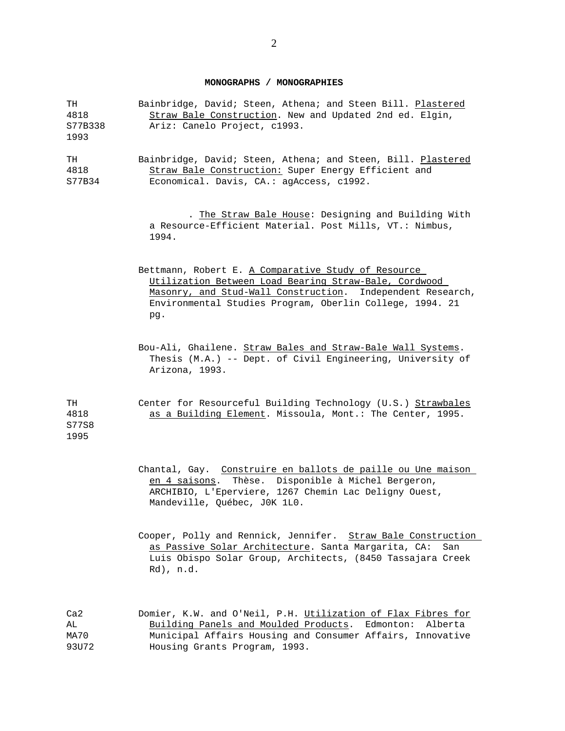## **MONOGRAPHS / MONOGRAPHIES**

| TH<br>4818<br>S77B338<br>1993        | Bainbridge, David; Steen, Athena; and Steen Bill. Plastered<br>Straw Bale Construction. New and Updated 2nd ed. Elgin,<br>Ariz: Canelo Project, c1993.                                                                                        |
|--------------------------------------|-----------------------------------------------------------------------------------------------------------------------------------------------------------------------------------------------------------------------------------------------|
| TH<br>4818<br>S77B34                 | Bainbridge, David; Steen, Athena; and Steen, Bill. Plastered<br>Straw Bale Construction: Super Energy Efficient and<br>Economical. Davis, CA.: agAccess, c1992.                                                                               |
|                                      | . The Straw Bale House: Designing and Building With<br>a Resource-Efficient Material. Post Mills, VT.: Nimbus,<br>1994.                                                                                                                       |
|                                      | Bettmann, Robert E. A Comparative Study of Resource<br>Utilization Between Load Bearing Straw-Bale, Cordwood<br>Masonry, and Stud-Wall Construction. Independent Research,<br>Environmental Studies Program, Oberlin College, 1994. 21<br>pg. |
|                                      | Bou-Ali, Ghailene. Straw Bales and Straw-Bale Wall Systems.<br>Thesis (M.A.) -- Dept. of Civil Engineering, University of<br>Arizona, 1993.                                                                                                   |
| TH<br>4818<br>S77S8<br>1995          | Center for Resourceful Building Technology (U.S.) Strawbales<br>as a Building Element. Missoula, Mont.: The Center, 1995.                                                                                                                     |
|                                      | Chantal, Gay. Construire en ballots de paille ou Une maison<br>Thèse. Disponible à Michel Bergeron,<br><u>en 4 saisons</u> .<br>ARCHIBIO, L'Eperviere, 1267 Chemin Lac Deligny Ouest,<br>Mandeville, Québec, JOK 1LO.                         |
|                                      | Cooper, Polly and Rennick, Jennifer. Straw Bale Construction<br>as Passive Solar Architecture. Santa Margarita, CA:<br>San<br>Luis Obispo Solar Group, Architects, (8450 Tassajara Creek<br>Rd), n.d.                                         |
| Ca <sub>2</sub><br>AL<br><b>MA70</b> | Domier, K.W. and O'Neil, P.H. Utilization of Flax Fibres for<br>Building Panels and Moulded Products.<br>Edmonton:<br>Alberta<br>Municipal Affairs Housing and Consumer Affairs, Innovative                                                   |

93U72 Housing Grants Program, 1993.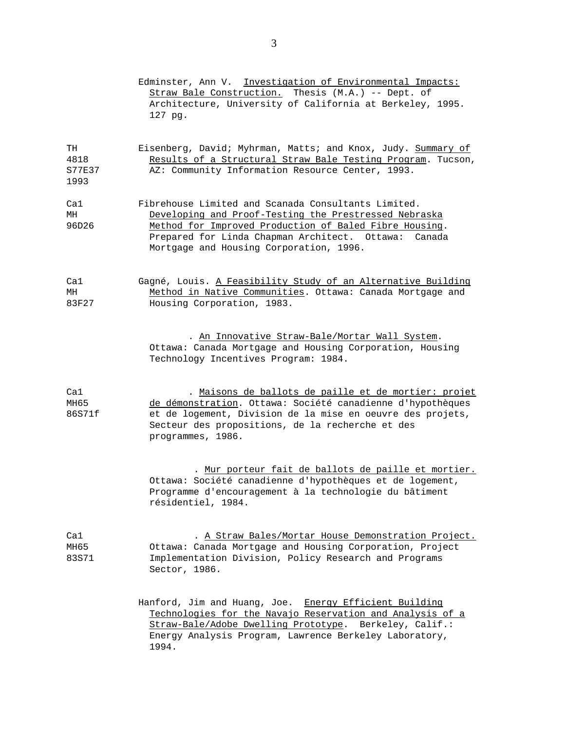|                                     | Edminster, Ann V. Investigation of Environmental Impacts:<br>Straw Bale Construction. Thesis (M.A.) -- Dept. of<br>Architecture, University of California at Berkeley, 1995.<br>127 pg.                                                                                      |
|-------------------------------------|------------------------------------------------------------------------------------------------------------------------------------------------------------------------------------------------------------------------------------------------------------------------------|
| TH<br>4818<br><b>S77E37</b><br>1993 | Eisenberg, David; Myhrman, Matts; and Knox, Judy. Summary of<br>Results of a Structural Straw Bale Testing Program. Tucson,<br>AZ: Community Information Resource Center, 1993.                                                                                              |
| Cal<br>MH<br>96D26                  | Fibrehouse Limited and Scanada Consultants Limited.<br>Developing and Proof-Testing the Prestressed Nebraska<br>Method for Improved Production of Baled Fibre Housing.<br>Prepared for Linda Chapman Architect. Ottawa:<br>Canada<br>Mortgage and Housing Corporation, 1996. |
| Ca1<br>MH<br>83F27                  | Gagné, Louis. A Feasibility Study of an Alternative Building<br>Method in Native Communities. Ottawa: Canada Mortgage and<br>Housing Corporation, 1983.                                                                                                                      |
|                                     | . An Innovative Straw-Bale/Mortar Wall System.<br>Ottawa: Canada Mortgage and Housing Corporation, Housing<br>Technology Incentives Program: 1984.                                                                                                                           |
| Ca1<br>MH65<br>86S71f               | . Maisons de ballots de paille et de mortier: projet<br>de démonstration. Ottawa: Société canadienne d'hypothèques<br>et de logement, Division de la mise en oeuvre des projets,<br>Secteur des propositions, de la recherche et des<br>programmes, 1986.                    |
|                                     | . Mur porteur fait de ballots de paille et mortier.<br>Ottawa: Société canadienne d'hypothèques et de logement,<br>Programme d'encouragement à la technologie du bâtiment<br>résidentiel, 1984.                                                                              |
| Cal<br>MH65<br>83S71                | . A Straw Bales/Mortar House Demonstration Project.<br>Ottawa: Canada Mortgage and Housing Corporation, Project<br>Implementation Division, Policy Research and Programs<br>Sector, 1986.                                                                                    |
|                                     | Hanford, Jim and Huang, Joe. Energy Efficient Building<br>Technologies for the Navajo Reservation and Analysis of a<br>Straw-Bale/Adobe Dwelling Prototype. Berkeley, Calif.:<br>Energy Analysis Program, Lawrence Berkeley Laboratory,<br>1994.                             |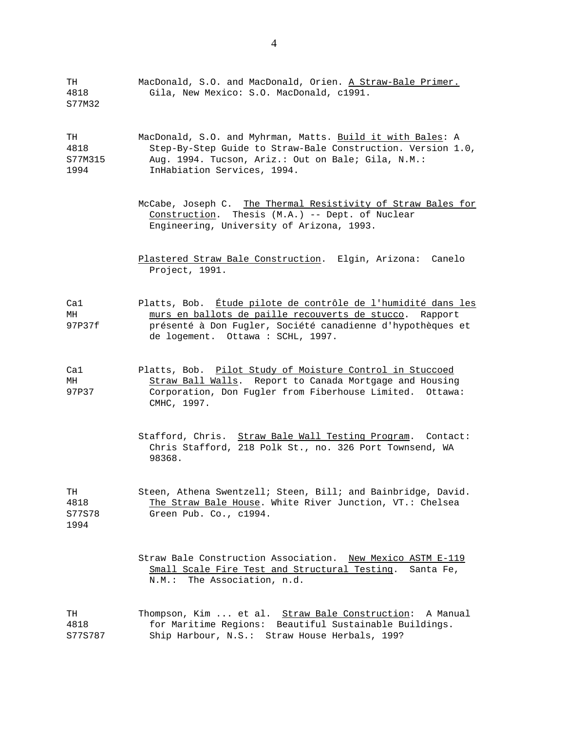| TH<br>4818<br>S77M32          | MacDonald, S.O. and MacDonald, Orien. A Straw-Bale Primer.<br>Gila, New Mexico: S.O. MacDonald, c1991.                                                                                                                     |
|-------------------------------|----------------------------------------------------------------------------------------------------------------------------------------------------------------------------------------------------------------------------|
| TH<br>4818<br>S77M315<br>1994 | MacDonald, S.O. and Myhrman, Matts. Build it with Bales: A<br>Step-By-Step Guide to Straw-Bale Construction. Version 1.0,<br>Aug. 1994. Tucson, Ariz.: Out on Bale; Gila, N.M.:<br>InHabiation Services, 1994.             |
|                               | McCabe, Joseph C. The Thermal Resistivity of Straw Bales for<br>Construction. Thesis (M.A.) -- Dept. of Nuclear<br>Engineering, University of Arizona, 1993.                                                               |
|                               | Plastered Straw Bale Construction. Elgin, Arizona: Canelo<br>Project, 1991.                                                                                                                                                |
| Cal<br>MH<br>97P37f           | Platts, Bob. Étude pilote de contrôle de l'humidité dans les<br>murs en ballots de paille recouverts de stucco. Rapport<br>présenté à Don Fugler, Société canadienne d'hypothèques et<br>de logement. Ottawa : SCHL, 1997. |
| Cal<br>MH<br>97P37            | Platts, Bob. Pilot Study of Moisture Control in Stuccoed<br>Straw Ball Walls. Report to Canada Mortgage and Housing<br>Corporation, Don Fugler from Fiberhouse Limited. Ottawa:<br>CMHC, 1997.                             |
|                               | Stafford, Chris. Straw Bale Wall Testing Program. Contact:<br>Chris Stafford, 218 Polk St., no. 326 Port Townsend, WA<br>98368.                                                                                            |
| T.H<br>4818<br>S77S78<br>1994 | Steen, Athena Swentzell; Steen, Bill; and Bainbridge, David.<br>The Straw Bale House. White River Junction, VT.: Chelsea<br>Green Pub. Co., c1994.                                                                         |
|                               | Straw Bale Construction Association. New Mexico ASTM E-119<br>Small Scale Fire Test and Structural Testing.<br>Santa Fe,<br>The Association, n.d.<br>N.M.:                                                                 |
| TH<br>4818<br>S77S787         | Thompson, Kim  et al. Straw Bale Construction:<br>A Manual<br>for Maritime Regions: Beautiful Sustainable Buildings.<br>Ship Harbour, N.S.: Straw House Herbals, 199?                                                      |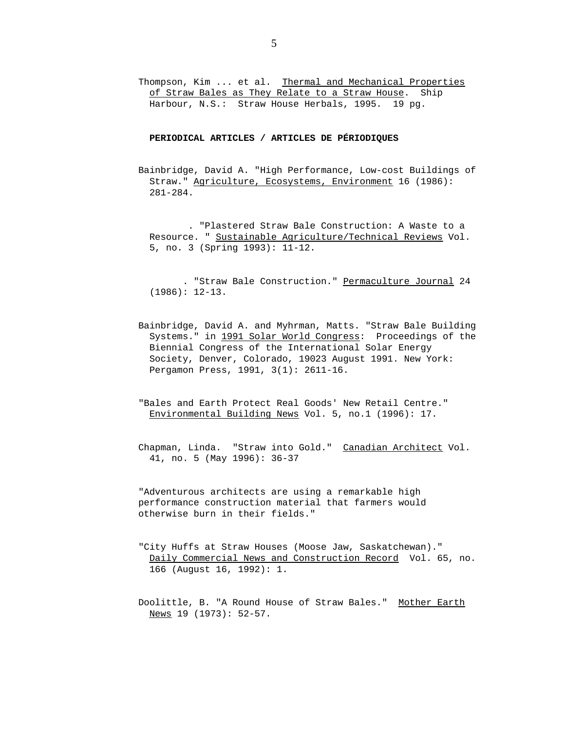Thompson, Kim ... et al. Thermal and Mechanical Properties of Straw Bales as They Relate to a Straw House. Ship Harbour, N.S.: Straw House Herbals, 1995. 19 pg.

**PERIODICAL ARTICLES / ARTICLES DE PÉRIODIQUES**

Bainbridge, David A. "High Performance, Low-cost Buildings of Straw." Agriculture, Ecosystems, Environment 16 (1986): 281-284.

. "Plastered Straw Bale Construction: A Waste to a Resource. " Sustainable Agriculture/Technical Reviews Vol. 5, no. 3 (Spring 1993): 11-12.

. "Straw Bale Construction." Permaculture Journal 24 (1986): 12-13.

- Bainbridge, David A. and Myhrman, Matts. "Straw Bale Building Systems." in 1991 Solar World Congress: Proceedings of the Biennial Congress of the International Solar Energy Society, Denver, Colorado, 19023 August 1991. New York: Pergamon Press, 1991, 3(1): 2611-16.
- "Bales and Earth Protect Real Goods' New Retail Centre." Environmental Building News Vol. 5, no.1 (1996): 17.
- Chapman, Linda. "Straw into Gold." Canadian Architect Vol. 41, no. 5 (May 1996): 36-37

"Adventurous architects are using a remarkable high performance construction material that farmers would otherwise burn in their fields."

- "City Huffs at Straw Houses (Moose Jaw, Saskatchewan)." Daily Commercial News and Construction Record Vol. 65, no. 166 (August 16, 1992): 1.
- Doolittle, B. "A Round House of Straw Bales." Mother Earth News 19 (1973): 52-57.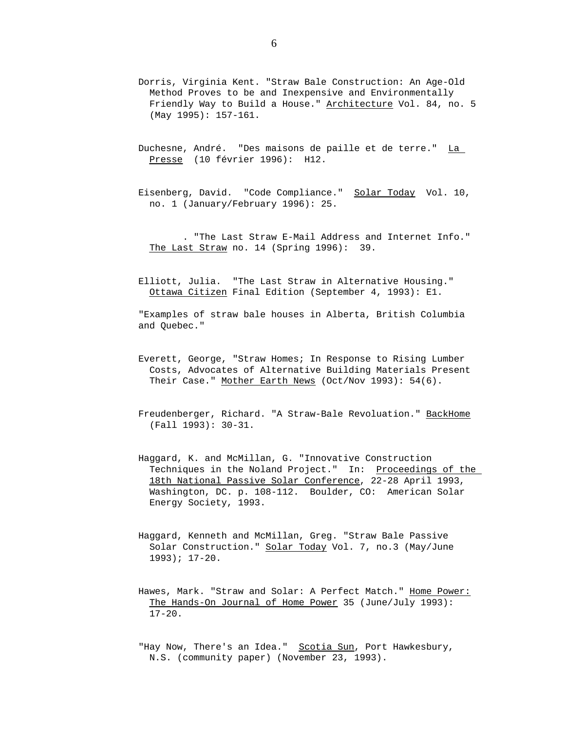- Dorris, Virginia Kent. "Straw Bale Construction: An Age-Old Method Proves to be and Inexpensive and Environmentally Friendly Way to Build a House." Architecture Vol. 84, no. 5 (May 1995): 157-161.
- Duchesne, André. "Des maisons de paille et de terre." La Presse (10 février 1996): H12.
- Eisenberg, David. "Code Compliance." Solar Today Vol. 10, no. 1 (January/February 1996): 25.

. "The Last Straw E-Mail Address and Internet Info." The Last Straw no. 14 (Spring 1996): 39.

Elliott, Julia. "The Last Straw in Alternative Housing." Ottawa Citizen Final Edition (September 4, 1993): E1.

"Examples of straw bale houses in Alberta, British Columbia and Quebec."

- Everett, George, "Straw Homes; In Response to Rising Lumber Costs, Advocates of Alternative Building Materials Present Their Case." Mother Earth News (Oct/Nov 1993): 54(6).
- Freudenberger, Richard. "A Straw-Bale Revoluation." BackHome (Fall 1993): 30-31.
- Haggard, K. and McMillan, G. "Innovative Construction Techniques in the Noland Project." In: Proceedings of the 18th National Passive Solar Conference, 22-28 April 1993, Washington, DC. p. 108-112. Boulder, CO: American Solar Energy Society, 1993.
- Haggard, Kenneth and McMillan, Greg. "Straw Bale Passive Solar Construction." Solar Today Vol. 7, no.3 (May/June 1993); 17-20.
- Hawes, Mark. "Straw and Solar: A Perfect Match." Home Power: The Hands-On Journal of Home Power 35 (June/July 1993): 17-20.

"Hay Now, There's an Idea." Scotia Sun, Port Hawkesbury, N.S. (community paper) (November 23, 1993).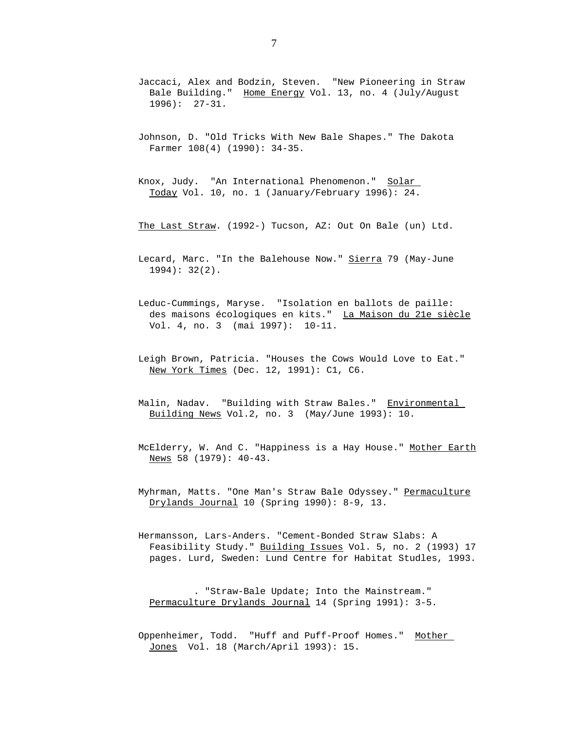- Jaccaci, Alex and Bodzin, Steven. "New Pioneering in Straw Bale Building." Home Energy Vol. 13, no. 4 (July/August 1996): 27-31.
- Johnson, D. "Old Tricks With New Bale Shapes." The Dakota Farmer 108(4) (1990): 34-35.
- Knox, Judy. "An International Phenomenon." Solar Today Vol. 10, no. 1 (January/February 1996): 24.
- The Last Straw. (1992-) Tucson, AZ: Out On Bale (un) Ltd.
- Lecard, Marc. "In the Balehouse Now." Sierra 79 (May-June  $1994$ :  $32(2)$ .
- Leduc-Cummings, Maryse. "Isolation en ballots de paille: des maisons écologiques en kits." La Maison du 21e siècle Vol. 4, no. 3 (mai 1997): 10-11.
- Leigh Brown, Patricia. "Houses the Cows Would Love to Eat." New York Times (Dec. 12, 1991): C1, C6.
- Malin, Nadav. "Building with Straw Bales." Environmental Building News Vol.2, no. 3 (May/June 1993): 10.
- McElderry, W. And C. "Happiness is a Hay House." Mother Earth News 58 (1979): 40-43.
- Myhrman, Matts. "One Man's Straw Bale Odyssey." Permaculture Drylands Journal 10 (Spring 1990): 8-9, 13.
- Hermansson, Lars-Anders. "Cement-Bonded Straw Slabs: A Feasibility Study." Building Issues Vol. 5, no. 2 (1993) 17 pages. Lurd, Sweden: Lund Centre for Habitat Studles, 1993.

. "Straw-Bale Update; Into the Mainstream." Permaculture Drylands Journal 14 (Spring 1991): 3-5.

Oppenheimer, Todd. "Huff and Puff-Proof Homes." Mother Jones Vol. 18 (March/April 1993): 15.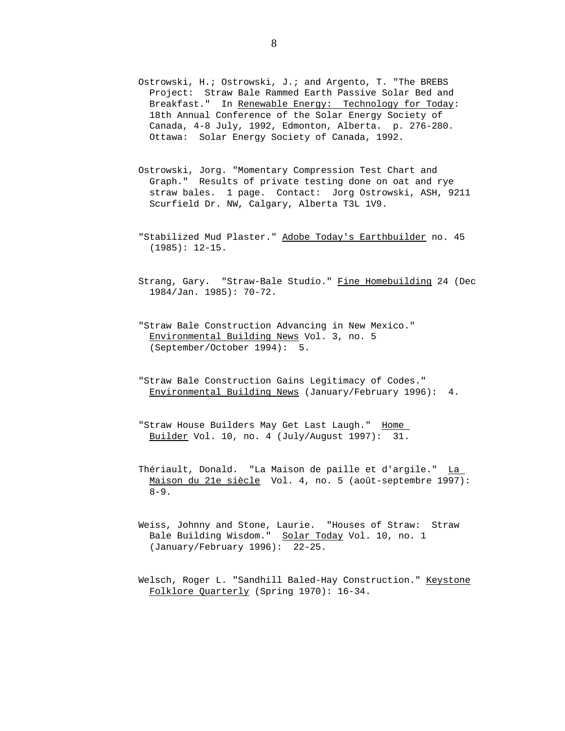- Ostrowski, H.; Ostrowski, J.; and Argento, T. "The BREBS Project: Straw Bale Rammed Earth Passive Solar Bed and Breakfast." In Renewable Energy: Technology for Today: 18th Annual Conference of the Solar Energy Society of Canada, 4-8 July, 1992, Edmonton, Alberta. p. 276-280. Ottawa: Solar Energy Society of Canada, 1992.
- Ostrowski, Jorg. "Momentary Compression Test Chart and Graph." Results of private testing done on oat and rye straw bales. 1 page. Contact: Jorg Ostrowski, ASH, 9211 Scurfield Dr. NW, Calgary, Alberta T3L 1V9.
- "Stabilized Mud Plaster." Adobe Today's Earthbuilder no. 45 (1985): 12-15.
- Strang, Gary. "Straw-Bale Studio." Fine Homebuilding 24 (Dec 1984/Jan. 1985): 70-72.
- "Straw Bale Construction Advancing in New Mexico." Environmental Building News Vol. 3, no. 5 (September/October 1994): 5.
- "Straw Bale Construction Gains Legitimacy of Codes." Environmental Building News (January/February 1996): 4.
- "Straw House Builders May Get Last Laugh." Home Builder Vol. 10, no. 4 (July/August 1997): 31.
- Thériault, Donald. "La Maison de paille et d'argile." La Maison du 21e siècle Vol. 4, no. 5 (août-septembre 1997):  $8 - 9$ .
- Weiss, Johnny and Stone, Laurie. "Houses of Straw: Straw Bale Building Wisdom." Solar Today Vol. 10, no. 1 (January/February 1996): 22-25.
- Welsch, Roger L. "Sandhill Baled-Hay Construction." Keystone Folklore Quarterly (Spring 1970): 16-34.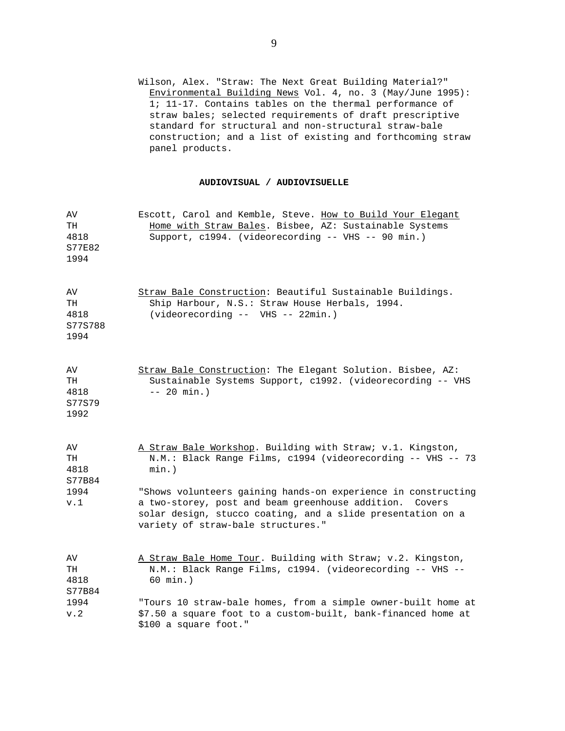Wilson, Alex. "Straw: The Next Great Building Material?" Environmental Building News Vol. 4, no. 3 (May/June 1995): 1; 11-17. Contains tables on the thermal performance of straw bales; selected requirements of draft prescriptive standard for structural and non-structural straw-bale construction; and a list of existing and forthcoming straw panel products.

## **AUDIOVISUAL / AUDIOVISUELLE**

| AV<br>TH<br>4818<br>S77E82<br>1994  | Escott, Carol and Kemble, Steve. How to Build Your Elegant<br>Home with Straw Bales. Bisbee, AZ: Sustainable Systems<br>Support, c1994. (videorecording -- VHS -- 90 min.)                                                       |
|-------------------------------------|----------------------------------------------------------------------------------------------------------------------------------------------------------------------------------------------------------------------------------|
| AV<br>TH<br>4818<br>S77S788<br>1994 | Straw Bale Construction: Beautiful Sustainable Buildings.<br>Ship Harbour, N.S.: Straw House Herbals, 1994.<br>(videorecording -- VHS -- 22min.)                                                                                 |
| AV<br>TH<br>4818<br>S77S79<br>1992  | Straw Bale Construction: The Elegant Solution. Bisbee, AZ:<br>Sustainable Systems Support, c1992. (videorecording -- VHS<br>$-- 20 min.$ )                                                                                       |
| AV<br>TH<br>4818<br>S77B84          | A Straw Bale Workshop. Building with Straw; v.1. Kingston,<br>N.M.: Black Range Films, c1994 (videorecording -- VHS -- 73<br>$min.$ )                                                                                            |
| 1994<br>v.1                         | "Shows volunteers gaining hands-on experience in constructing<br>a two-storey, post and beam greenhouse addition.<br>Covers<br>solar design, stucco coating, and a slide presentation on a<br>variety of straw-bale structures." |
| AV<br>TH<br>4818<br>S77B84          | A Straw Bale Home Tour. Building with Straw; v.2. Kingston,<br>N.M.: Black Range Films, c1994. (videorecording -- VHS --<br>60 min.)                                                                                             |
| 1994<br>v.2                         | "Tours 10 straw-bale homes, from a simple owner-built home at<br>\$7.50 a square foot to a custom-built, bank-financed home at<br>\$100 a square foot."                                                                          |